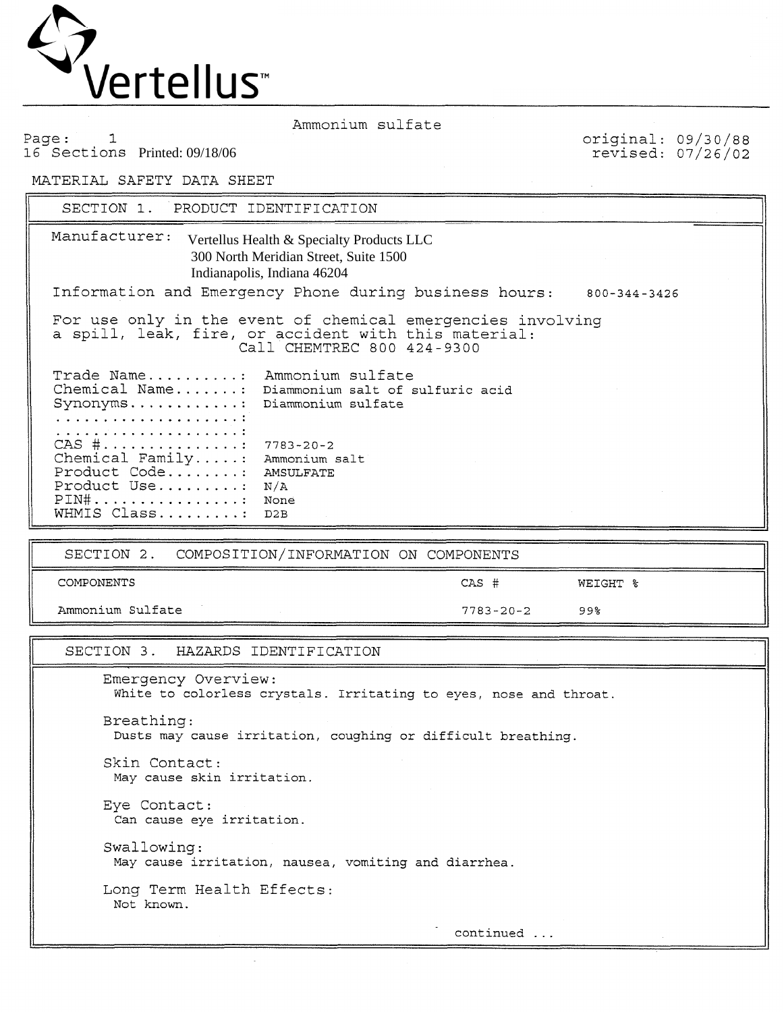

Page: 1 16 Sections Printed: 09/18/06 original: 09/30/88 revised: 07/26/02

MATERIAL SAFETY DATA SHEET

SECTION 1. PRODUCT IDENTIFICATION

Sections Printed: 09/18/06<br>
TERIAL SAFETY DATA SHEET<br>
SECTION 1. PRODUCT IDENTIFICATION<br>
Manufacturer: Vertellus Health & Specialty Products LLC 300 North Meridian Street, Suite 1500 Indianapolis, Indiana 46204 Information and Emergency Phone during business hours: 800-344-3426 For use only in the event of chemical emergencies involving a spill, leak, fire, or accident with this material: Call CHEMTREC 800 424-9300 Trade Name.......... Ammonium sulfate Chemical Name. ...... : Diammonium salt of sulfuric acid Synonyms. ........... : Diammonium sulfate ..................... ..................... CAS #. .............. : 7783-20-2 Chemical Family. .... : Ammonium salt Product Code. ....... : AMSULFATE Product Use .......... - N/A PIN#. ............... : None PIN#................ None<br>WHMIS Class......... D2B

SECTION 2. COMPOSITION/INFORMATION ON COMPONENTS

COMPONENTS CAS # WEIGHT %

Ammonium Sulfate 7783-20-2 99%

## SECTION 3. HAZARDS IDENTIFICATION

Emergency Overview: White to colorless crystals. Irritating to eyes, nose and throat.

Breathing: Dusts may cause irritation, coughing or difficult breathing.

Skin Contact: May cause skin irritation.

Eye Contact: Can cause eye irritation.

Swallowing: May cause irritation, nausea, vomiting and diarrhea

Long Term Health Effects: Not known.

continued ...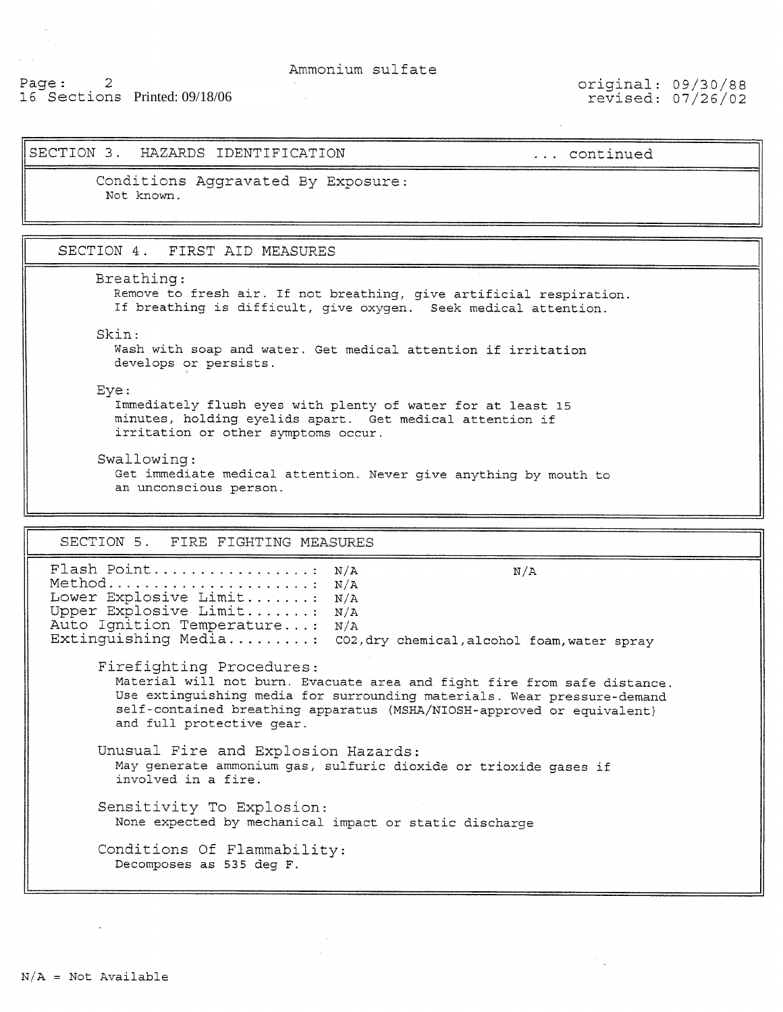# Page: 2 16 Sections Printed: 09/18/06

original: 09/30/88 revised: 07/26/02

## SECTION 3. HAZARDS IDENTIFICATION ... continued

Conditions Aggravated By Exposure: Not known.

SECTION 4. FIRST AID MEASURES

Breathing:

Remove to fresh air. If not breathing, give artificial respiration. If breathing is difficult, give oxygen. Seek medical attention.

Skin :

Wash with soap and water. Get medical attention if irritation develops or persists.

Eye :

 $\overline{\phantom{a}}$ 

Immediately flush eyes with plenty of water for at least **15**  minutes, holding eyelids apart. Get medical attention if irritation or other symptoms occur.

Swallowing:

Get immediate medical attention. Never give anything by mouth to an unconscious person.

SECTION 5. FIRE FIGHTING MEASURES

Flash Point.................... N/A N/A Method........................... N/A<br>Lower Explosive Limit........ N/A Lower Explosive Limit....... Upper Explosive Limit....... : N/A Auto Ignition Temperature...: N/A Extinguishing Media......... CO2, dry chemical, alcohol foam, water spray Firefighting Procedures: Material will not burn. Evacuate area and fight fire from safe distance. Use extinguishing media for surrounding materials. Wear pressure-demand self-contained breathing apparatus (MSHA/NIOSH-approved or equivalent) and full protective gear. Unusual Fire and Explosion Hazards: May generate ammonium gas, sulfuric dioxide or trioxide gases if involved in a fire. Sensitivity To Explosion: None expected by mechanical impact or static discharge Conditions Of Flammability: Decomposes as 535 deg F.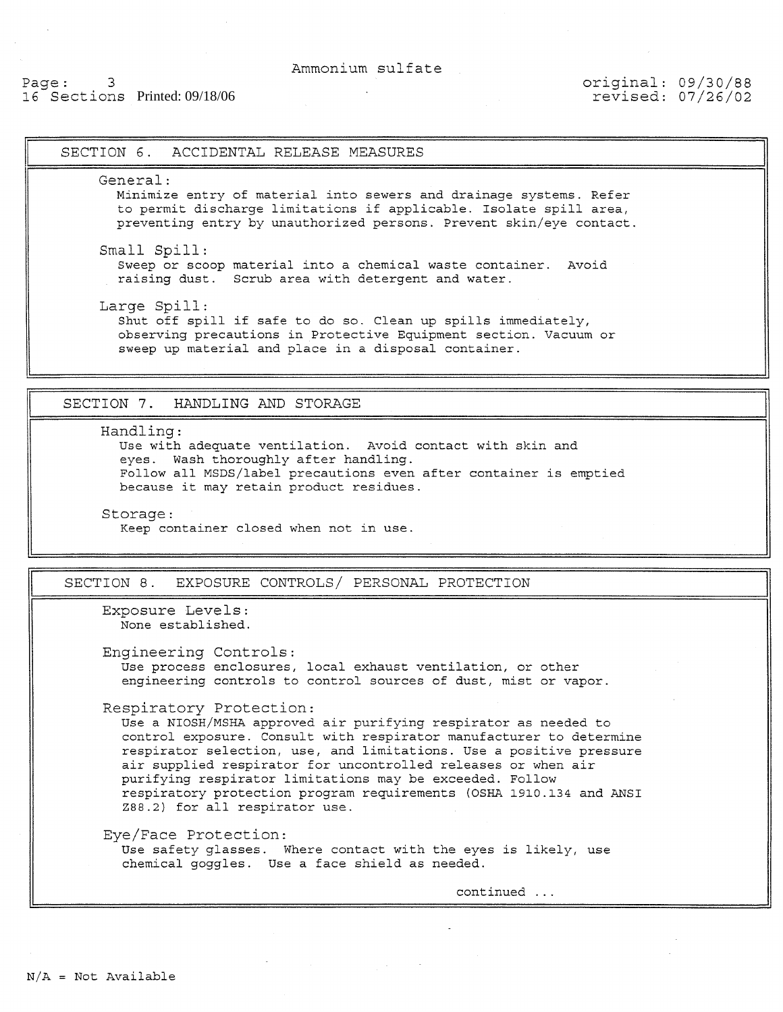## Page: 3 16 Sections Printed:07/26/02 Printed: 09/18/06

## original: 09/30/88 revised: 07/26/02

# SECTION 6. ACCIDENTAL RELEASE MEASURES General : Minimize entry of material into sewers and drainage systems. Refer to permit discharge limitations if applicable. Isolate spill area, preventing entry by unauthorized persons. Prevent skin/eye contact. Small Spill: Sweep or scoop material into a chemical waste container. Avoid raising dust. Scrub area with detergent and water. Large Spill: Shut off spill if safe to do so. Clean up spills immediately, observing precautions in Protective Equipment section. Vacuum or sweep up material and place in a disposal container. SECTION 7. HANDLING AND STORAGE Handling : Use with adequate ventilation. Avoid contact with skin and eyes. Wash thoroughly after handling. Follow all MSDS/label precautions even after container is emptied because it may retain product residues. Storage : Keep container closed when not in use SECTION 8. EXPOSURE CONTROLS/ PERSONAL PROTECTION Exposure Levels: None established. Engineering Controls: Use process enclosures, local exhaust ventilation, or other engineering controls to control sources of dust, mist or vapor. Respiratory Protection: Use a NIOSH/MSHA approved air purifying respirator as needed to control exposure. Consult with respirator manufacturer to determine respirator selection, use, and limitations. Use a positive pressure air supplied respirator for uncontrolled releases or when air purifying respirator limitations may be exceeded. Follow respiratory protection program requirements (OSHA 1910.134 and ANSI 288.2) for all respirator use. Eye/Face Protection: Use safety glasses. Where contact with the eyes is likely, use chemical goggles. Use a face shield as needed. continued ...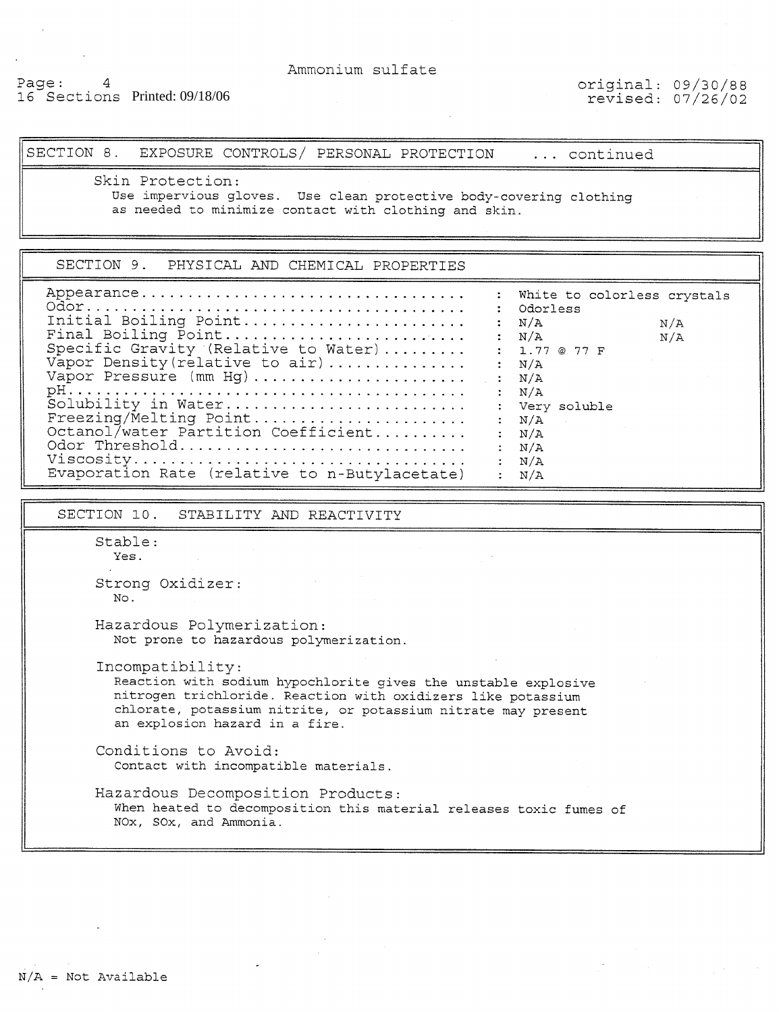# Page: 4 16 Sections Printed: 09/18/06

<u>|-</u>

original: 09/30/88 revised: 07/26/02

SECTION 8. EXPOSURE CONTROLS/ PERSONAL PROTECTION ... continued

Skin Protection:

Use impervious gloves. Use clean protective body-covering clothing as needed to minimize contact with clothing and skin.

| SECTION 9. PHYSICAL AND CHEMICAL PROPERTIES                                                                                                                                                                                                                                                                               |                                                                                                                                                                                                             |
|---------------------------------------------------------------------------------------------------------------------------------------------------------------------------------------------------------------------------------------------------------------------------------------------------------------------------|-------------------------------------------------------------------------------------------------------------------------------------------------------------------------------------------------------------|
| Initial Boiling Point<br>Final Boiling Point<br>Specific Gravity (Relative to Water)<br>Vapor Density (relative to air)<br>Vapor Pressure (mm Hg)<br>Solubility in Water<br>Freezing/Melting Point<br>Octanol/water Partition Coefficient<br>Odor Threshold<br>Viscosity<br>Evaporation Rate (relative to n-Butylacetate) | : White to colorless crystals<br>Odorless<br>N/A<br>N/A<br>$:$ N/A<br>N/A<br>: 1.77@77F<br>: N/A<br>: $N/A$<br>: N/A<br>: Very soluble<br>: $N/A$<br>: N/A<br>$\rm N/A$<br>$\mathrm{N}/\mathrm{A}$<br>: N/A |

SECTION 10. STABILITY AND REACTIVITY

Stable : Yes.

Strong Oxidizer: No.

Hazardous Polymerization: Not prone to hazardous polymerization.

Incompatibility:

Reaction with sodium hypochlorite gives the unstable explosive nitrogen trichloride. Reaction with oxidizers like potassium chlorate, potassium nitrite, or potassium nitrate may present an explosion hazard in a fire.

Conditions to Avoid: Contact with incompatible materials.

Hazardous Decomposition Products: When heated to decomposition this material releases toxic fumes of NOx, SOX, and Ammonia.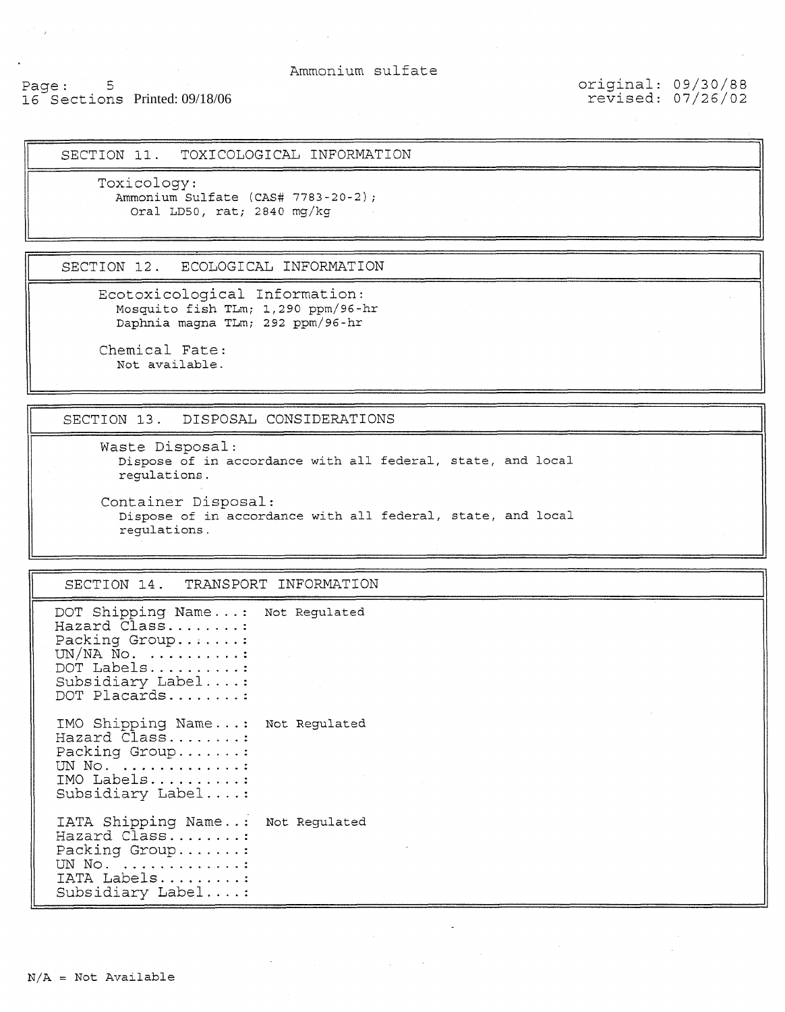# Page: 5 16 Sections Printed: 09/18/06

original: 09/30/88 revised: 07/26/02

SECTION 11. TOXICOLOGICAL INFORMATION

Toxicology: Ammonlum Sulfate **(CAS#** 7783-20-2); Oral LD50, rat; 2840 mg/kg

SECTION 12. ECOLOGICAL INFORMATION

Ecotoxicological Information: Mosquito fish TLm; 1,290 ppm/96-hr Daphnla magna TLm; 292 ppm/96-hr

Chemical Fate: Not available.

SECTION 13. DISPOSAL CONSIDERATIONS

Waste Disposal: Dispose of in accordance with all federal, state, and local regulatlons. Container Disposal:

Dispose of in accordance with all federal, state, and local regulatlons.

SECTION 14. TRANSPORT INFORMATION

```
DOT Shipping Name...: Not Regulated
Hazard Class........
Packing Group.......
UN/NA \tilde{N}\circ. \dots \dots \dots :
DOT Labels..........
Subsidiary Label .... : 
DOT Placards ........ : 
IMO Shipping Name. .. : Not Regulated 
Hazard Class........
Packing Group.......
UN No. .............
IMO Labels .......... : 
Subsidiary Label .... : 
IATA Shipping Name. . : Not Regulated 
Hazard Class........
Packing Group.......:
UN No. .............
IATA Labels ......... : 
Subsidiary Label .... :
```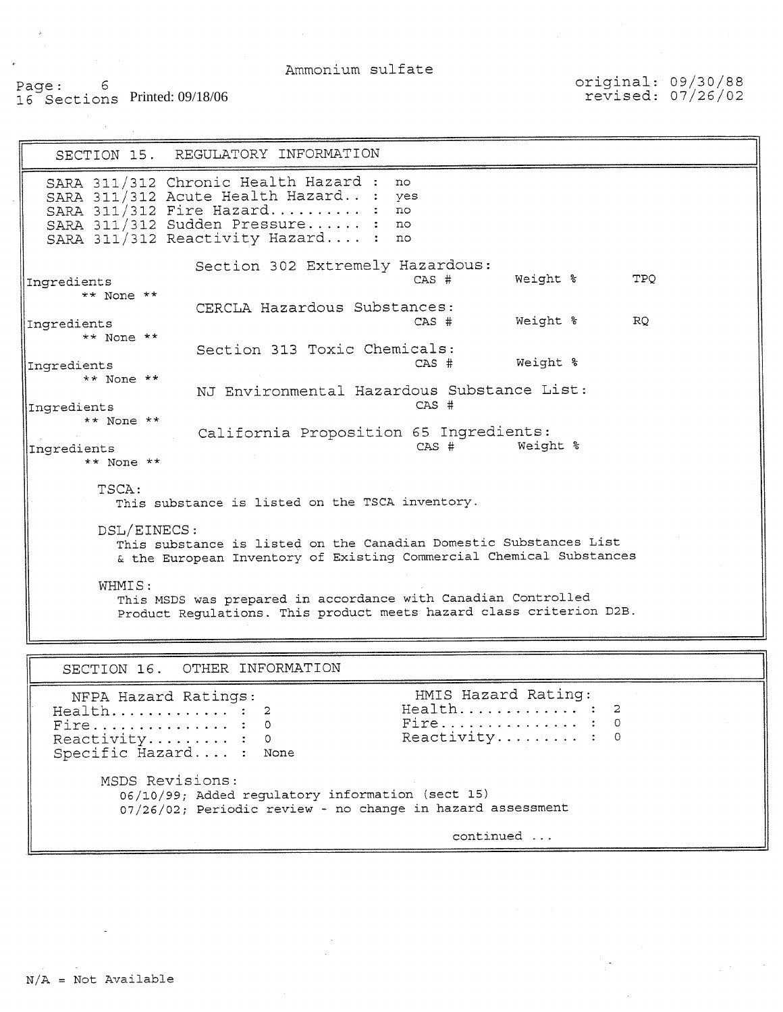## Page: 6 16 Sections ~rinted:07/26/02 Printed: 09/18/06

original: 09/30/88 revised: 07/26/02

SECTION 15. REGULATORY INFORMATION SARA 3111312 Chronic Health Hazard : no SARA 311/312 Acute Health Hazard.. : yes SARA 311/312 Acute Health Hazard.. : yes<br>SARA 311/312 Fire Hazard......... : no<br>SARA 311/312 Sudden Pressure...... : no SARA  $311/312$  Sudden Pressure...... : SARA 311/312 Reactivity Hazard.... : no Section 302 Extremely Hazardous: Ingredients CAS # Weight % **TPO** \*\* None \*\* CERCLA Hazardous Substances: Ingredients CAS # Weight % RO \*\* None \*\* Section 313 Toxic Chemicals: Ingredients CAS # Weight % \*\* None \*\* NJ Environmental Hazardous Substance List: Ingredients \*\* None \*\* California Proposition 65 Ingredients:<br>CAS # Weight % Ingredients \*\* None \*\* TSCA: This substance is listed on the TSCA inventory. DSL/EINECS: This substance is listed on the Canadian Domestic Substances List & the European Inventory of Existing Commercial Chemical Substances WHMIS : This MSDS was prepared in accordance with Canadian Controlled Product Regulations. This product meets hazard class criterion D2B. - SECTION 16. OTHER INFORMATION NFPA Hazard Ratings: HMIS Hazard Rating: Health.............. : 2<br>Fire............... : 0 Fire ............... : o Fire ............... : <sup>o</sup> Reactivity ......... : o Reactivity ......... : <sup>o</sup> Specific Hazard.. .. : None MSDS Revisions: 06/10/99; Added regulatory information (sect 15) 07/26/02; Periodic review - no change in hazard assessment continued ...